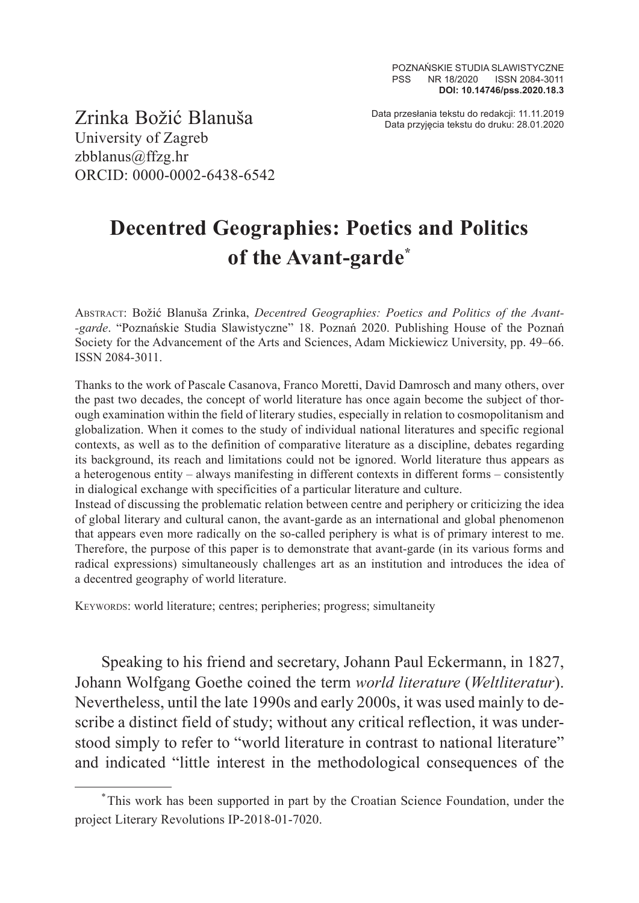Data przesłania tekstu do redakcji: 11.11.2019 Zrinka Božić Blanuša Data przyjęcia tekstu do druku: 28.01.2020

University of Zagreb zbblanus@ffzg.hr ORCID: 0000-0002-6438-6542

## **Decentred Geographies: Poetics and Politics of the Avant-garde\***

Abstract: Božić Blanuša Zrinka, *Decentred Geographies: Poetics and Politics of the Avant- -garde*. "Poznańskie Studia Slawistyczne" 18. Poznań 2020. Publishing House of the Poznań Society for the Advancement of the Arts and Sciences, Adam Mickiewicz University, pp. 49–66. ISSN 2084-3011.

Thanks to the work of Pascale Casanova, Franco Moretti, David Damrosch and many others, over the past two decades, the concept of world literature has once again become the subject of thorough examination within the field of literary studies, especially in relation to cosmopolitanism and globalization. When it comes to the study of individual national literatures and specific regional contexts, as well as to the definition of comparative literature as a discipline, debates regarding its background, its reach and limitations could not be ignored. World literature thus appears as a heterogenous entity – always manifesting in different contexts in different forms – consistently in dialogical exchange with specificities of a particular literature and culture.

Instead of discussing the problematic relation between centre and periphery or criticizing the idea of global literary and cultural canon, the avant-garde as an international and global phenomenon that appears even more radically on the so-called periphery is what is of primary interest to me. Therefore, the purpose of this paper is to demonstrate that avant-garde (in its various forms and radical expressions) simultaneously challenges art as an institution and introduces the idea of a decentred geography of world literature.

Keywords: world literature; centres; peripheries; progress; simultaneity

Speaking to his friend and secretary, Johann Paul Eckermann, in 1827, Johann Wolfgang Goethe coined the term *world literature* (*Weltliteratur*). Nevertheless, until the late 1990s and early 2000s, it was used mainly to describe a distinct field of study; without any critical reflection, it was understood simply to refer to "world literature in contrast to national literature" and indicated "little interest in the methodological consequences of the

<sup>\*</sup>This work has been supported in part by the Croatian Science Foundation, under the project Literary Revolutions IP-2018-01-7020.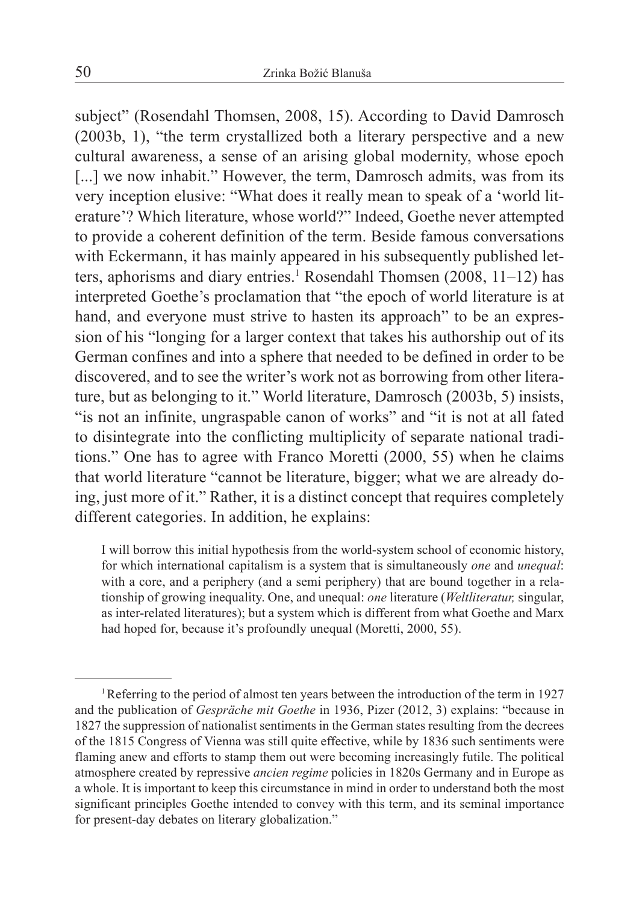subject" (Rosendahl Thomsen, 2008, 15). According to David Damrosch (2003b, 1), "the term crystallized both a literary perspective and a new cultural awareness, a sense of an arising global modernity, whose epoch [...] we now inhabit." However, the term, Damrosch admits, was from its very inception elusive: "What does it really mean to speak of a 'world literature'? Which literature, whose world?" Indeed, Goethe never attempted to provide a coherent definition of the term. Beside famous conversations with Eckermann, it has mainly appeared in his subsequently published letters, aphorisms and diary entries.<sup>1</sup> Rosendahl Thomsen (2008, 11–12) has interpreted Goethe's proclamation that "the epoch of world literature is at hand, and everyone must strive to hasten its approach" to be an expression of his "longing for a larger context that takes his authorship out of its German confines and into a sphere that needed to be defined in order to be discovered, and to see the writer's work not as borrowing from other literature, but as belonging to it." World literature, Damrosch (2003b, 5) insists, "is not an infinite, ungraspable canon of works" and "it is not at all fated to disintegrate into the conflicting multiplicity of separate national traditions." One has to agree with Franco Moretti (2000, 55) when he claims that world literature "cannot be literature, bigger; what we are already doing, just more of it." Rather, it is a distinct concept that requires completely different categories. In addition, he explains:

I will borrow this initial hypothesis from the world-system school of economic history, for which international capitalism is a system that is simultaneously *one* and *unequal*: with a core, and a periphery (and a semi periphery) that are bound together in a relationship of growing inequality. One, and unequal: *one* literature (*Weltliteratur,* singular, as inter-related literatures); but a system which is different from what Goethe and Marx had hoped for, because it's profoundly unequal (Moretti, 2000, 55).

<sup>&</sup>lt;sup>1</sup>Referring to the period of almost ten years between the introduction of the term in 1927 and the publication of *Gespräche mit Goethe* in 1936, Pizer (2012, 3) explains: "because in 1827 the suppression of nationalist sentiments in the German states resulting from the decrees of the 1815 Congress of Vienna was still quite effective, while by 1836 such sentiments were flaming anew and efforts to stamp them out were becoming increasingly futile. The political atmosphere created by repressive *ancien regime* policies in 1820s Germany and in Europe as a whole. It is important to keep this circumstance in mind in order to understand both the most significant principles Goethe intended to convey with this term, and its seminal importance for present-day debates on literary globalization."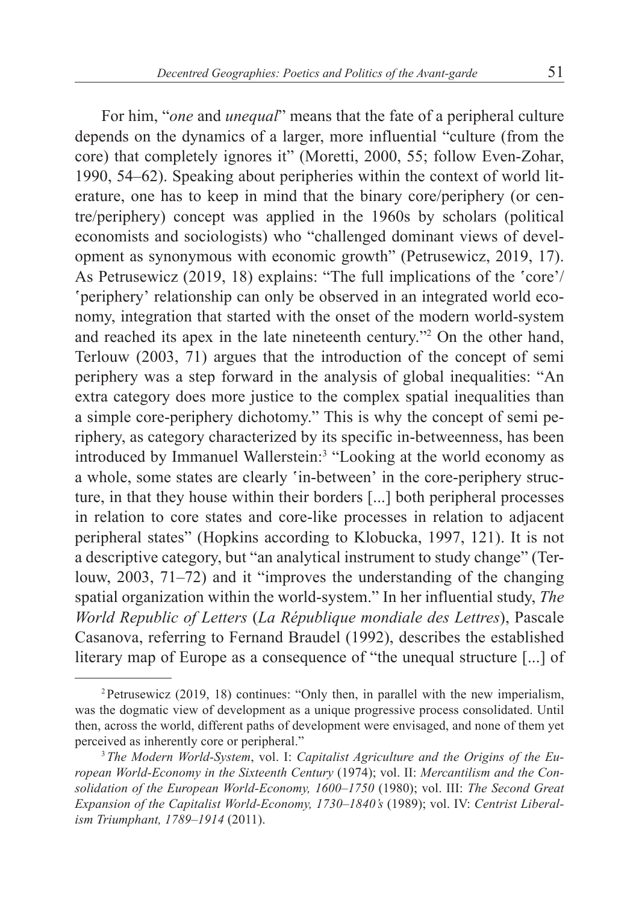For him, "*one* and *unequal*" means that the fate of a peripheral culture depends on the dynamics of a larger, more influential "culture (from the core) that completely ignores it" (Moretti, 2000, 55; follow Even-Zohar, 1990, 54–62). Speaking about peripheries within the context of world lit-

erature, one has to keep in mind that the binary core/periphery (or centre/periphery) concept was applied in the 1960s by scholars (political economists and sociologists) who "challenged dominant views of development as synonymous with economic growth" (Petrusewicz, 2019, 17). As Petrusewicz (2019, 18) explains: "The full implications of the 'core'/ 'periphery' relationship can only be observed in an integrated world economy, integration that started with the onset of the modern world-system and reached its apex in the late nineteenth century."<sup>2</sup> On the other hand, Terlouw (2003, 71) argues that the introduction of the concept of semi periphery was a step forward in the analysis of global inequalities: "An extra category does more justice to the complex spatial inequalities than a simple core-periphery dichotomy." This is why the concept of semi periphery, as category characterized by its specific in-betweenness, has been introduced by Immanuel Wallerstein:<sup>3</sup> "Looking at the world economy as a whole, some states are clearly 'in-between' in the core-periphery structure, in that they house within their borders [...] both peripheral processes in relation to core states and core-like processes in relation to adjacent peripheral states" (Hopkins according to Klobucka, 1997, 121). It is not a descriptive category, but "an analytical instrument to study change" (Terlouw, 2003, 71–72) and it "improves the understanding of the changing spatial organization within the world-system." In her influential study, *The World Republic of Letters* (*La République mondiale des Lettres*), Pascale Casanova, referring to Fernand Braudel (1992), describes the established literary map of Europe as a consequence of "the unequal structure [...] of

<sup>2</sup>Petrusewicz (2019, 18) continues: "Only then, in parallel with the new imperialism, was the dogmatic view of development as a unique progressive process consolidated. Until then, across the world, different paths of development were envisaged, and none of them yet perceived as inherently core or peripheral."

<sup>3</sup>*The Modern World-System*, vol. I: *Capitalist Agriculture and the Origins of the European World-Economy in the Sixteenth Century* (1974); vol. II: *Mercantilism and the Consolidation of the European World-Economy, 1600–1750* (1980); vol. III: *The Second Great Expansion of the Capitalist World-Economy, 1730–1840's* (1989); vol. IV: *Centrist Liberalism Triumphant, 1789–1914* (2011).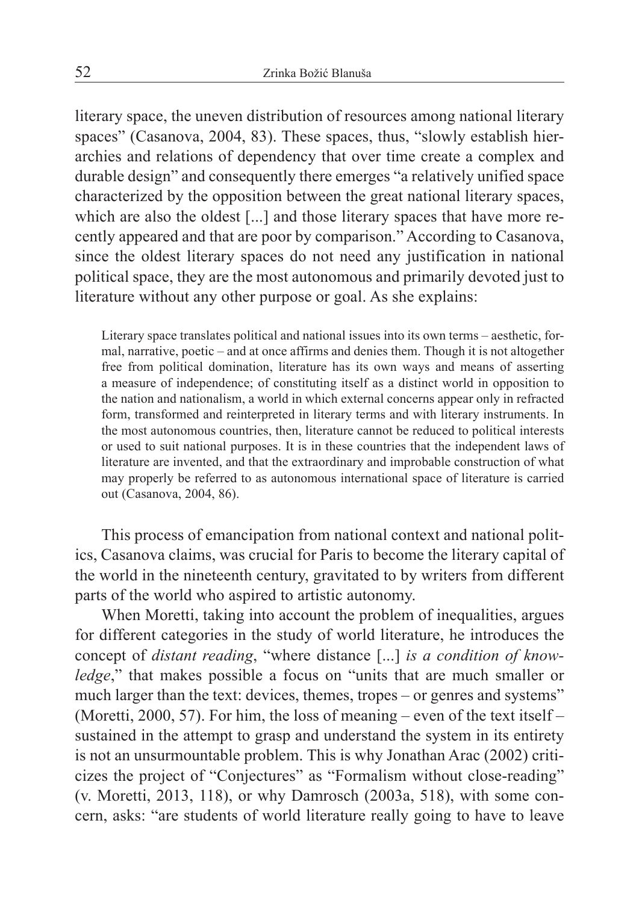literary space, the uneven distribution of resources among national literary spaces" (Casanova, 2004, 83). These spaces, thus, "slowly establish hierarchies and relations of dependency that over time create a complex and durable design" and consequently there emerges "a relatively unified space characterized by the opposition between the great national literary spaces, which are also the oldest [...] and those literary spaces that have more recently appeared and that are poor by comparison." According to Casanova, since the oldest literary spaces do not need any justification in national political space, they are the most autonomous and primarily devoted just to literature without any other purpose or goal. As she explains:

Literary space translates political and national issues into its own terms – aesthetic, formal, narrative, poetic – and at once affirms and denies them. Though it is not altogether free from political domination, literature has its own ways and means of asserting a measure of independence; of constituting itself as a distinct world in opposition to the nation and nationalism, a world in which external concerns appear only in refracted form, transformed and reinterpreted in literary terms and with literary instruments. In the most autonomous countries, then, literature cannot be reduced to political interests or used to suit national purposes. It is in these countries that the independent laws of literature are invented, and that the extraordinary and improbable construction of what may properly be referred to as autonomous international space of literature is carried out (Casanova, 2004, 86).

This process of emancipation from national context and national politics, Casanova claims, was crucial for Paris to become the literary capital of the world in the nineteenth century, gravitated to by writers from different parts of the world who aspired to artistic autonomy.

When Moretti, taking into account the problem of inequalities, argues for different categories in the study of world literature, he introduces the concept of *distant reading*, "where distance [...] *is a condition of knowledge*," that makes possible a focus on "units that are much smaller or much larger than the text: devices, themes, tropes – or genres and systems" (Moretti, 2000, 57). For him, the loss of meaning – even of the text itself – sustained in the attempt to grasp and understand the system in its entirety is not an unsurmountable problem. This is why Jonathan Arac (2002) criticizes the project of "Conjectures" as "Formalism without close-reading" (v. Moretti, 2013, 118), or why Damrosch (2003a, 518), with some concern, asks: "are students of world literature really going to have to leave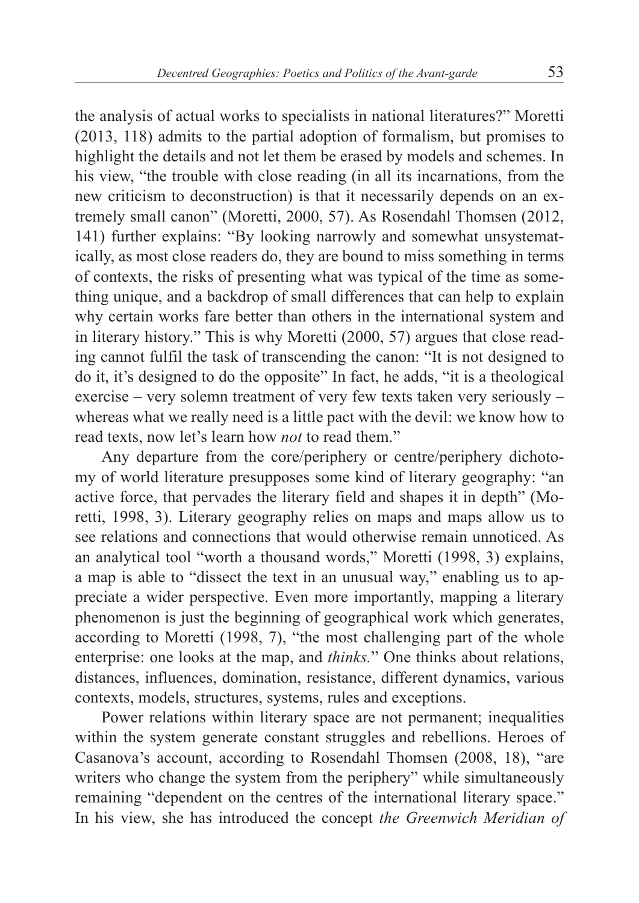the analysis of actual works to specialists in national literatures?" Moretti (2013, 118) admits to the partial adoption of formalism, but promises to highlight the details and not let them be erased by models and schemes. In his view, "the trouble with close reading (in all its incarnations, from the new criticism to deconstruction) is that it necessarily depends on an extremely small canon" (Moretti, 2000, 57). As Rosendahl Thomsen (2012, 141) further explains: "By looking narrowly and somewhat unsystematically, as most close readers do, they are bound to miss something in terms of contexts, the risks of presenting what was typical of the time as something unique, and a backdrop of small differences that can help to explain why certain works fare better than others in the international system and in literary history." This is why Moretti (2000, 57) argues that close reading cannot fulfil the task of transcending the canon: "It is not designed to do it, it's designed to do the opposite" In fact, he adds, "it is a theological exercise – very solemn treatment of very few texts taken very seriously – whereas what we really need is a little pact with the devil: we know how to read texts, now let's learn how *not* to read them."

Any departure from the core/periphery or centre/periphery dichotomy of world literature presupposes some kind of literary geography: "an active force, that pervades the literary field and shapes it in depth" (Moretti, 1998, 3). Literary geography relies on maps and maps allow us to see relations and connections that would otherwise remain unnoticed. As an analytical tool "worth a thousand words," Moretti (1998, 3) explains, a map is able to "dissect the text in an unusual way," enabling us to appreciate a wider perspective. Even more importantly, mapping a literary phenomenon is just the beginning of geographical work which generates, according to Moretti (1998, 7), "the most challenging part of the whole enterprise: one looks at the map, and *thinks.*" One thinks about relations, distances, influences, domination, resistance, different dynamics, various contexts, models, structures, systems, rules and exceptions.

Power relations within literary space are not permanent; inequalities within the system generate constant struggles and rebellions. Heroes of Casanova's account, according to Rosendahl Thomsen (2008, 18), "are writers who change the system from the periphery" while simultaneously remaining "dependent on the centres of the international literary space." In his view, she has introduced the concept *the Greenwich Meridian of*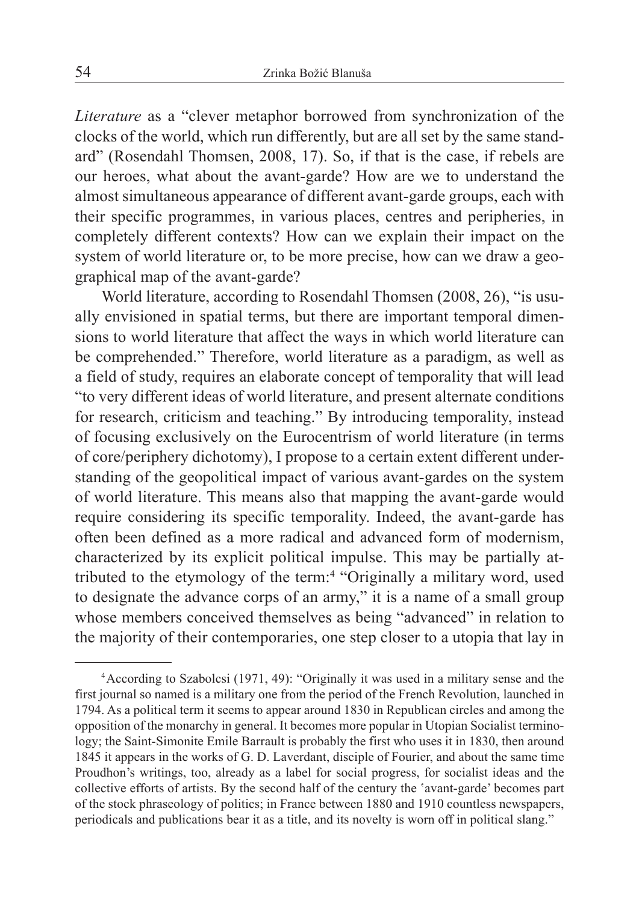*Literature* as a "clever metaphor borrowed from synchronization of the clocks of the world, which run differently, but are all set by the same standard" (Rosendahl Thomsen, 2008, 17). So, if that is the case, if rebels are our heroes, what about the avant-garde? How are we to understand the almost simultaneous appearance of different avant-garde groups, each with their specific programmes, in various places, centres and peripheries, in completely different contexts? How can we explain their impact on the system of world literature or, to be more precise, how can we draw a geographical map of the avant-garde?

World literature, according to Rosendahl Thomsen (2008, 26), "is usually envisioned in spatial terms, but there are important temporal dimensions to world literature that affect the ways in which world literature can be comprehended." Therefore, world literature as a paradigm, as well as a field of study, requires an elaborate concept of temporality that will lead "to very different ideas of world literature, and present alternate conditions for research, criticism and teaching." By introducing temporality, instead of focusing exclusively on the Eurocentrism of world literature (in terms of core/periphery dichotomy), I propose to a certain extent different understanding of the geopolitical impact of various avant-gardes on the system of world literature. This means also that mapping the avant-garde would require considering its specific temporality. Indeed, the avant-garde has often been defined as a more radical and advanced form of modernism, characterized by its explicit political impulse. This may be partially attributed to the etymology of the term:<sup>4</sup> "Originally a military word, used to designate the advance corps of an army," it is a name of a small group whose members conceived themselves as being "advanced" in relation to the majority of their contemporaries, one step closer to a utopia that lay in

<sup>4</sup>According to Szabolcsi (1971, 49): "Originally it was used in a military sense and the first journal so named is a military one from the period of the French Revolution, launched in 1794. As a political term it seems to appear around 1830 in Republican circles and among the opposition of the monarchy in general. It becomes more popular in Utopian Socialist terminology; the Saint-Simonite Emile Barrault is probably the first who uses it in 1830, then around 1845 it appears in the works of G. D. Laverdant, disciple of Fourier, and about the same time Proudhon's writings, too, already as a label for social progress, for socialist ideas and the collective efforts of artists. By the second half of the century the 'avant-garde' becomes part of the stock phraseology of politics; in France between 1880 and 1910 countless newspapers, periodicals and publications bear it as a title, and its novelty is worn off in political slang."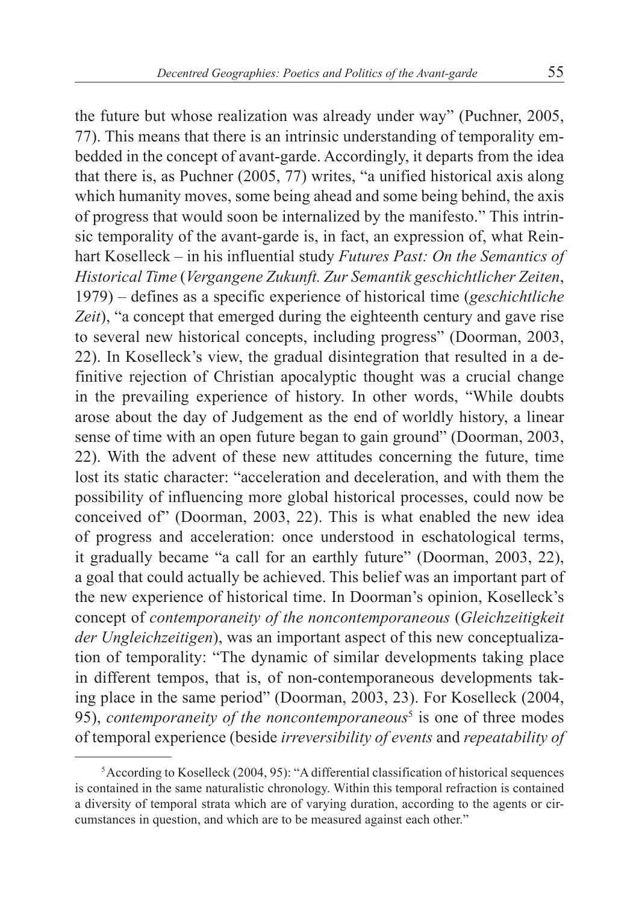the future but whose realization was already under way" (Puchner, 2005, 77). This means that there is an intrinsic understanding of temporality embedded in the concept of avant-garde. Accordingly, it departs from the idea that there is, as Puchner (2005, 77) writes, "a unified historical axis along which humanity moves, some being ahead and some being behind, the axis of progress that would soon be internalized by the manifesto." This intrinsic temporality of the avant-garde is, in fact, an expression of, what Reinhart Koselleck – in his influential study *Futures Past: On the Semantics of Historical Time* (*Vergangene Zukunft. Zur Semantik geschichtlicher Zeiten*, 1979) – defines as a specific experience of historical time (*geschichtliche Zeit*), "a concept that emerged during the eighteenth century and gave rise to several new historical concepts, including progress" (Doorman, 2003, 22). In Koselleck's view, the gradual disintegration that resulted in a definitive rejection of Christian apocalyptic thought was a crucial change in the prevailing experience of history. In other words, "While doubts arose about the day of Judgement as the end of worldly history, a linear sense of time with an open future began to gain ground" (Doorman, 2003, 22). With the advent of these new attitudes concerning the future, time lost its static character: "acceleration and deceleration, and with them the possibility of influencing more global historical processes, could now be conceived of" (Doorman, 2003, 22). This is what enabled the new idea of progress and acceleration: once understood in eschatological terms, it gradually became "a call for an earthly future" (Doorman, 2003, 22), a goal that could actually be achieved. This belief was an important part of the new experience of historical time. In Doorman's opinion, Koselleck's concept of *contemporaneity of the noncontemporaneous* (*Gleichzeitigkeit der Ungleichzeitigen*), was an important aspect of this new conceptualization of temporality: "The dynamic of similar developments taking place in different tempos, that is, of non-contemporaneous developments taking place in the same period" (Doorman, 2003, 23). For Koselleck (2004, 95), *contemporaneity of the noncontemporaneous*<sup>5</sup> is one of three modes of temporal experience (beside *irreversibility of events* and *repeatability of* 

<sup>5</sup>According to Koselleck (2004, 95): "A differential classification of historical sequences is contained in the same naturalistic chronology. Within this temporal refraction is contained a diversity of temporal strata which are of varying duration, according to the agents or circumstances in question, and which are to be measured against each other."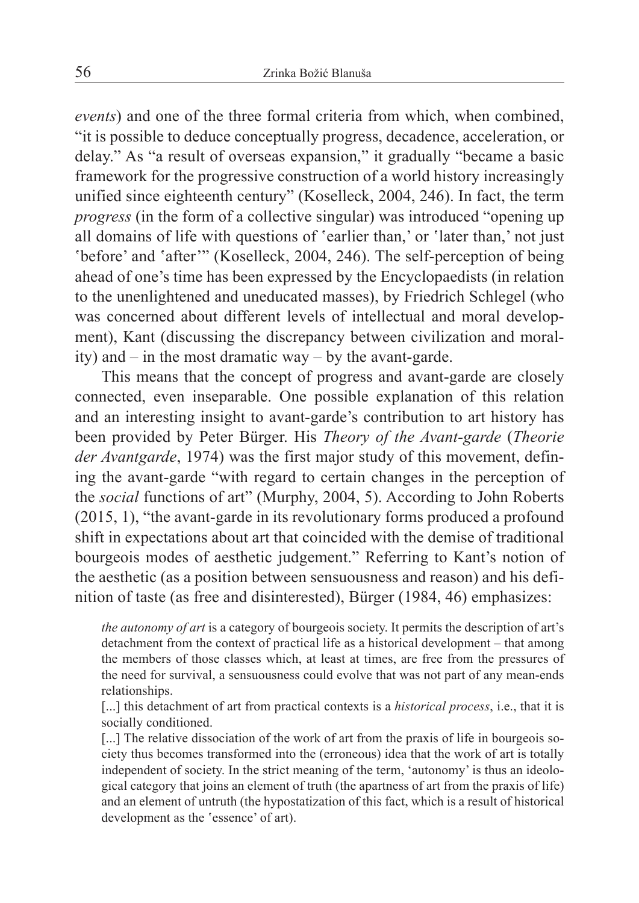*events*) and one of the three formal criteria from which, when combined, "it is possible to deduce conceptually progress, decadence, acceleration, or delay." As "a result of overseas expansion," it gradually "became a basic framework for the progressive construction of a world history increasingly unified since eighteenth century" (Koselleck, 2004, 246). In fact, the term *progress* (in the form of a collective singular) was introduced "opening up all domains of life with questions of 'earlier than,' or 'later than,' not just 'before' and 'after'" (Koselleck, 2004, 246). The self-perception of being ahead of one's time has been expressed by the Encyclopaedists (in relation to the unenlightened and uneducated masses), by Friedrich Schlegel (who was concerned about different levels of intellectual and moral development), Kant (discussing the discrepancy between civilization and morality) and – in the most dramatic way – by the avant-garde.

This means that the concept of progress and avant-garde are closely connected, even inseparable. One possible explanation of this relation and an interesting insight to avant-garde's contribution to art history has been provided by Peter Bürger. His *Theory of the Avant-garde* (*Theorie der Avantgarde*, 1974) was the first major study of this movement, defining the avant-garde "with regard to certain changes in the perception of the *social* functions of art" (Murphy, 2004, 5). According to John Roberts (2015, 1), "the avant-garde in its revolutionary forms produced a profound shift in expectations about art that coincided with the demise of traditional bourgeois modes of aesthetic judgement." Referring to Kant's notion of the aesthetic (as a position between sensuousness and reason) and his definition of taste (as free and disinterested), Bürger (1984, 46) emphasizes:

*the autonomy of art* is a category of bourgeois society. It permits the description of art's detachment from the context of practical life as a historical development – that among the members of those classes which, at least at times, are free from the pressures of the need for survival, a sensuousness could evolve that was not part of any mean-ends relationships.

[...] this detachment of art from practical contexts is a *historical process*, i.e., that it is socially conditioned.

[...] The relative dissociation of the work of art from the praxis of life in bourgeois society thus becomes transformed into the (erroneous) idea that the work of art is totally independent of society. In the strict meaning of the term, 'autonomy' is thus an ideological category that joins an element of truth (the apartness of art from the praxis of life) and an element of untruth (the hypostatization of this fact, which is a result of historical development as the 'essence' of art).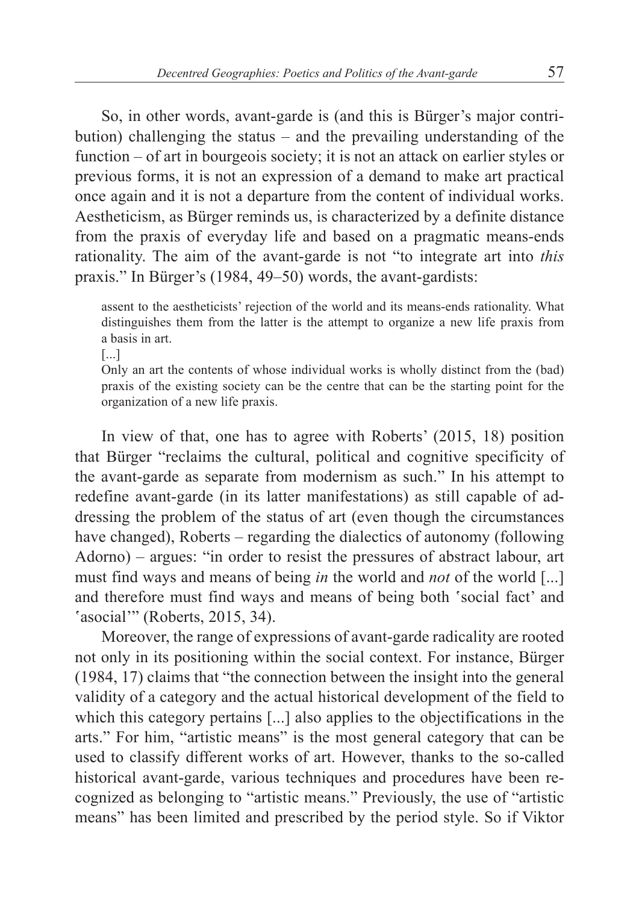So, in other words, avant-garde is (and this is Bürger's major contribution) challenging the status – and the prevailing understanding of the function – of art in bourgeois society; it is not an attack on earlier styles or previous forms, it is not an expression of a demand to make art practical once again and it is not a departure from the content of individual works. Aestheticism, as Bürger reminds us, is characterized by a definite distance from the praxis of everyday life and based on a pragmatic means-ends rationality. The aim of the avant-garde is not "to integrate art into *this* praxis." In Bürger's (1984, 49–50) words, the avant-gardists:

assent to the aestheticists' rejection of the world and its means-ends rationality. What distinguishes them from the latter is the attempt to organize a new life praxis from a basis in art.

[...]

Only an art the contents of whose individual works is wholly distinct from the (bad) praxis of the existing society can be the centre that can be the starting point for the organization of a new life praxis.

In view of that, one has to agree with Roberts' (2015, 18) position that Bürger "reclaims the cultural, political and cognitive specificity of the avant-garde as separate from modernism as such." In his attempt to redefine avant-garde (in its latter manifestations) as still capable of addressing the problem of the status of art (even though the circumstances have changed), Roberts – regarding the dialectics of autonomy (following Adorno) – argues: "in order to resist the pressures of abstract labour, art must find ways and means of being *in* the world and *not* of the world [...] and therefore must find ways and means of being both 'social fact' and 'asocial'" (Roberts, 2015, 34).

Moreover, the range of expressions of avant-garde radicality are rooted not only in its positioning within the social context. For instance, Bürger (1984, 17) claims that "the connection between the insight into the general validity of a category and the actual historical development of the field to which this category pertains [...] also applies to the objectifications in the arts." For him, "artistic means" is the most general category that can be used to classify different works of art. However, thanks to the so-called historical avant-garde, various techniques and procedures have been recognized as belonging to "artistic means." Previously, the use of "artistic means" has been limited and prescribed by the period style. So if Viktor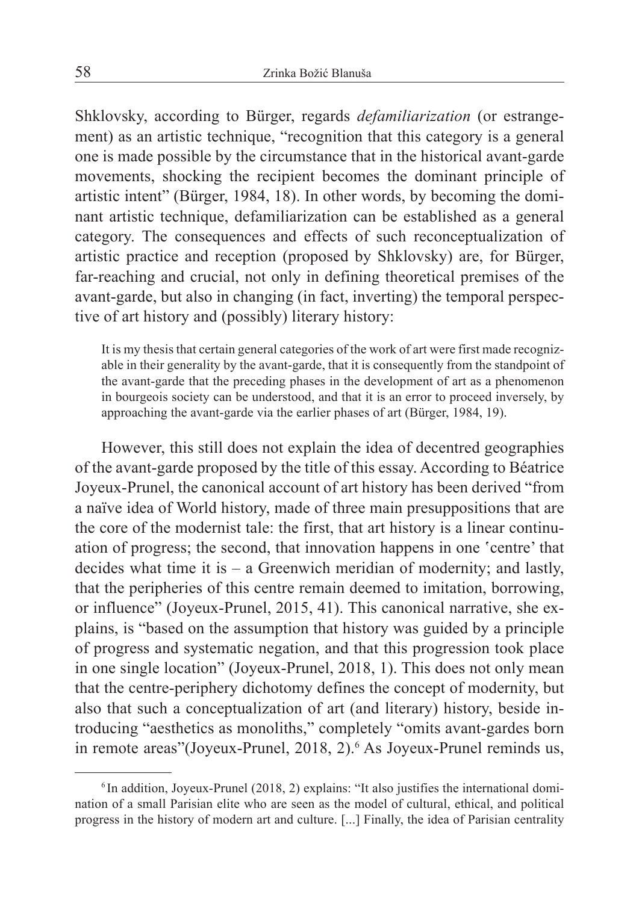Shklovsky, according to Bürger, regards *defamiliarization* (or estrangement) as an artistic technique, "recognition that this category is a general one is made possible by the circumstance that in the historical avant-garde movements, shocking the recipient becomes the dominant principle of artistic intent" (Bürger, 1984, 18). In other words, by becoming the dominant artistic technique, defamiliarization can be established as a general category. The consequences and effects of such reconceptualization of artistic practice and reception (proposed by Shklovsky) are, for Bürger, far-reaching and crucial, not only in defining theoretical premises of the avant-garde, but also in changing (in fact, inverting) the temporal perspective of art history and (possibly) literary history:

It is my thesis that certain general categories of the work of art were first made recognizable in their generality by the avant-garde, that it is consequently from the standpoint of the avant-garde that the preceding phases in the development of art as a phenomenon in bourgeois society can be understood, and that it is an error to proceed inversely, by approaching the avant-garde via the earlier phases of art (Bürger, 1984, 19).

However, this still does not explain the idea of decentred geographies of the avant-garde proposed by the title of this essay. According to Béatrice Joyeux-Prunel, the canonical account of art history has been derived "from a naïve idea of World history, made of three main presuppositions that are the core of the modernist tale: the first, that art history is a linear continuation of progress; the second, that innovation happens in one 'centre' that decides what time it is – a Greenwich meridian of modernity; and lastly, that the peripheries of this centre remain deemed to imitation, borrowing, or influence" (Joyeux-Prunel, 2015, 41). This canonical narrative, she explains, is "based on the assumption that history was guided by a principle of progress and systematic negation, and that this progression took place in one single location" (Joyeux-Prunel, 2018, 1). This does not only mean that the centre-periphery dichotomy defines the concept of modernity, but also that such a conceptualization of art (and literary) history, beside introducing "aesthetics as monoliths," completely "omits avant-gardes born in remote areas"(Joyeux-Prunel, 2018, 2).<sup>6</sup> As Joyeux-Prunel reminds us,

 $6$  In addition, Joyeux-Prunel (2018, 2) explains: "It also justifies the international domination of a small Parisian elite who are seen as the model of cultural, ethical, and political progress in the history of modern art and culture. [...] Finally, the idea of Parisian centrality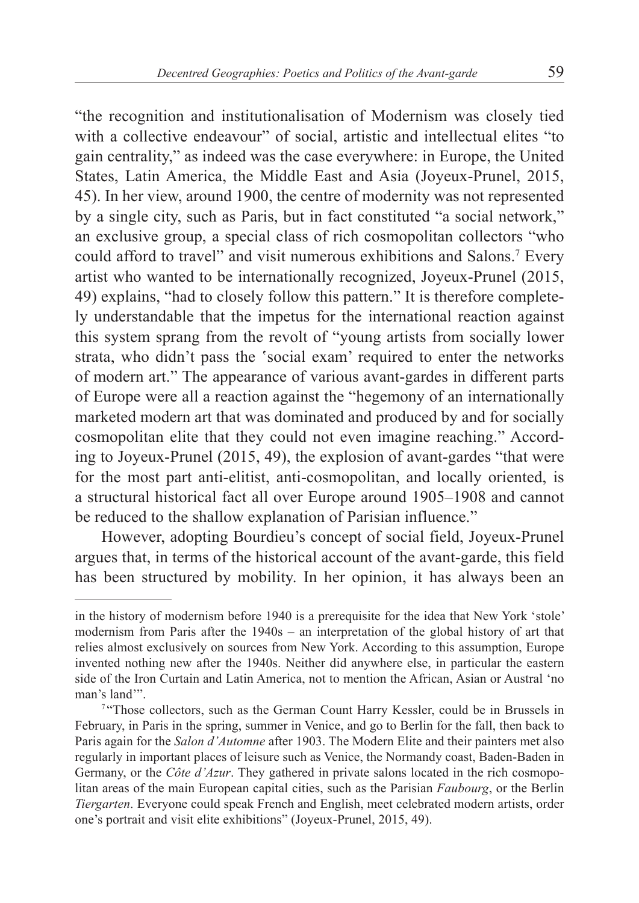"the recognition and institutionalisation of Modernism was closely tied with a collective endeavour" of social, artistic and intellectual elites "to gain centrality," as indeed was the case everywhere: in Europe, the United States, Latin America, the Middle East and Asia (Joyeux-Prunel, 2015, 45). In her view, around 1900, the centre of modernity was not represented by a single city, such as Paris, but in fact constituted "a social network," an exclusive group, a special class of rich cosmopolitan collectors "who could afford to travel" and visit numerous exhibitions and Salons.7 Every artist who wanted to be internationally recognized, Joyeux-Prunel (2015, 49) explains, "had to closely follow this pattern." It is therefore completely understandable that the impetus for the international reaction against this system sprang from the revolt of "young artists from socially lower strata, who didn't pass the 'social exam' required to enter the networks of modern art." The appearance of various avant-gardes in different parts of Europe were all a reaction against the "hegemony of an internationally marketed modern art that was dominated and produced by and for socially cosmopolitan elite that they could not even imagine reaching." According to Joyeux-Prunel (2015, 49), the explosion of avant-gardes "that were for the most part anti-elitist, anti-cosmopolitan, and locally oriented, is a structural historical fact all over Europe around 1905–1908 and cannot be reduced to the shallow explanation of Parisian influence."

However, adopting Bourdieu's concept of social field, Joyeux-Prunel argues that, in terms of the historical account of the avant-garde, this field has been structured by mobility. In her opinion, it has always been an

in the history of modernism before 1940 is a prerequisite for the idea that New York 'stole' modernism from Paris after the 1940s – an interpretation of the global history of art that relies almost exclusively on sources from New York. According to this assumption, Europe invented nothing new after the 1940s. Neither did anywhere else, in particular the eastern side of the Iron Curtain and Latin America, not to mention the African, Asian or Austral 'no man's land'".

<sup>&</sup>lt;sup>7</sup> "Those collectors, such as the German Count Harry Kessler, could be in Brussels in February, in Paris in the spring, summer in Venice, and go to Berlin for the fall, then back to Paris again for the *Salon d'Automne* after 1903. The Modern Elite and their painters met also regularly in important places of leisure such as Venice, the Normandy coast, Baden-Baden in Germany, or the *Côte d'Azur*. They gathered in private salons located in the rich cosmopolitan areas of the main European capital cities, such as the Parisian *Faubourg*, or the Berlin *Tiergarten*. Everyone could speak French and English, meet celebrated modern artists, order one's portrait and visit elite exhibitions" (Joyeux-Prunel, 2015, 49).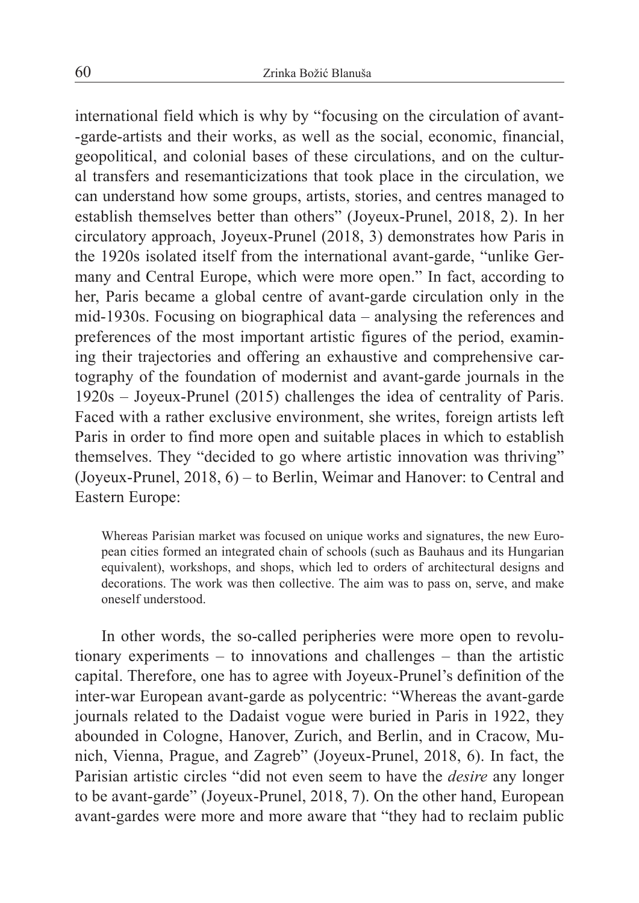international field which is why by "focusing on the circulation of avant- -garde-artists and their works, as well as the social, economic, financial, geopolitical, and colonial bases of these circulations, and on the cultural transfers and resemanticizations that took place in the circulation, we can understand how some groups, artists, stories, and centres managed to establish themselves better than others" (Joyeux-Prunel, 2018, 2). In her circulatory approach, Joyeux-Prunel (2018, 3) demonstrates how Paris in the 1920s isolated itself from the international avant-garde, "unlike Germany and Central Europe, which were more open." In fact, according to her, Paris became a global centre of avant-garde circulation only in the mid-1930s. Focusing on biographical data – analysing the references and preferences of the most important artistic figures of the period, examining their trajectories and offering an exhaustive and comprehensive cartography of the foundation of modernist and avant-garde journals in the 1920s – Joyeux-Prunel (2015) challenges the idea of centrality of Paris. Faced with a rather exclusive environment, she writes, foreign artists left Paris in order to find more open and suitable places in which to establish themselves. They "decided to go where artistic innovation was thriving" (Joyeux-Prunel, 2018, 6) – to Berlin, Weimar and Hanover: to Central and Eastern Europe:

Whereas Parisian market was focused on unique works and signatures, the new European cities formed an integrated chain of schools (such as Bauhaus and its Hungarian equivalent), workshops, and shops, which led to orders of architectural designs and decorations. The work was then collective. The aim was to pass on, serve, and make oneself understood.

In other words, the so-called peripheries were more open to revolutionary experiments – to innovations and challenges – than the artistic capital. Therefore, one has to agree with Joyeux-Prunel's definition of the inter-war European avant-garde as polycentric: "Whereas the avant-garde journals related to the Dadaist vogue were buried in Paris in 1922, they abounded in Cologne, Hanover, Zurich, and Berlin, and in Cracow, Munich, Vienna, Prague, and Zagreb" (Joyeux-Prunel, 2018, 6). In fact, the Parisian artistic circles "did not even seem to have the *desire* any longer to be avant-garde" (Joyeux-Prunel, 2018, 7). On the other hand, European avant-gardes were more and more aware that "they had to reclaim public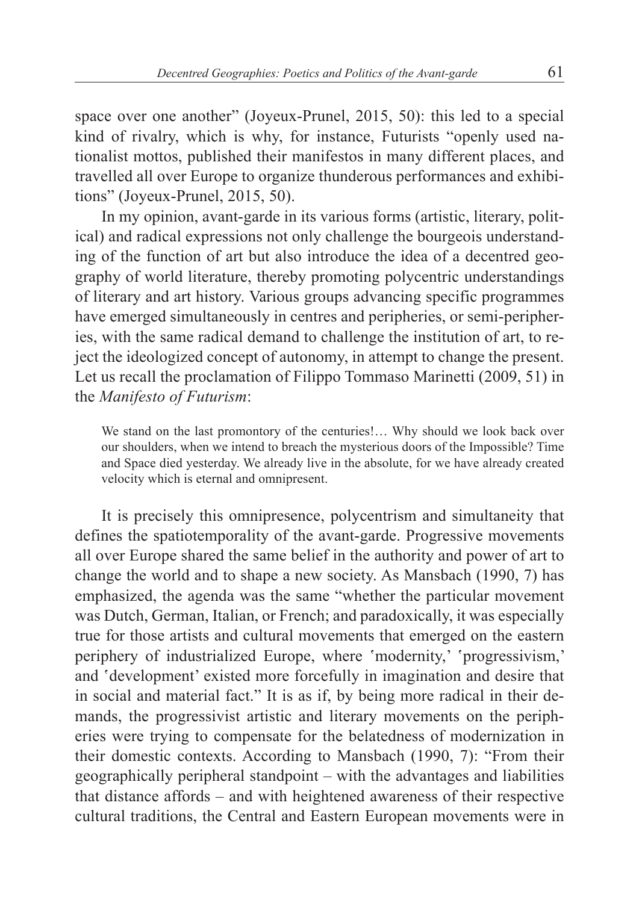space over one another" (Joyeux-Prunel, 2015, 50): this led to a special kind of rivalry, which is why, for instance, Futurists "openly used nationalist mottos, published their manifestos in many different places, and travelled all over Europe to organize thunderous performances and exhibitions" (Joyeux-Prunel, 2015, 50).

In my opinion, avant-garde in its various forms (artistic, literary, political) and radical expressions not only challenge the bourgeois understanding of the function of art but also introduce the idea of a decentred geography of world literature, thereby promoting polycentric understandings of literary and art history. Various groups advancing specific programmes have emerged simultaneously in centres and peripheries, or semi-peripheries, with the same radical demand to challenge the institution of art, to reject the ideologized concept of autonomy, in attempt to change the present. Let us recall the proclamation of Filippo Tommaso Marinetti (2009, 51) in the *Manifesto of Futurism*:

We stand on the last promontory of the centuries!… Why should we look back over our shoulders, when we intend to breach the mysterious doors of the Impossible? Time and Space died yesterday. We already live in the absolute, for we have already created velocity which is eternal and omnipresent.

It is precisely this omnipresence, polycentrism and simultaneity that defines the spatiotemporality of the avant-garde. Progressive movements all over Europe shared the same belief in the authority and power of art to change the world and to shape a new society. As Mansbach (1990, 7) has emphasized, the agenda was the same "whether the particular movement was Dutch, German, Italian, or French; and paradoxically, it was especially true for those artists and cultural movements that emerged on the eastern periphery of industrialized Europe, where 'modernity,' 'progressivism,' and 'development' existed more forcefully in imagination and desire that in social and material fact." It is as if, by being more radical in their demands, the progressivist artistic and literary movements on the peripheries were trying to compensate for the belatedness of modernization in their domestic contexts. According to Mansbach (1990, 7): "From their geographically peripheral standpoint – with the advantages and liabilities that distance affords – and with heightened awareness of their respective cultural traditions, the Central and Eastern European movements were in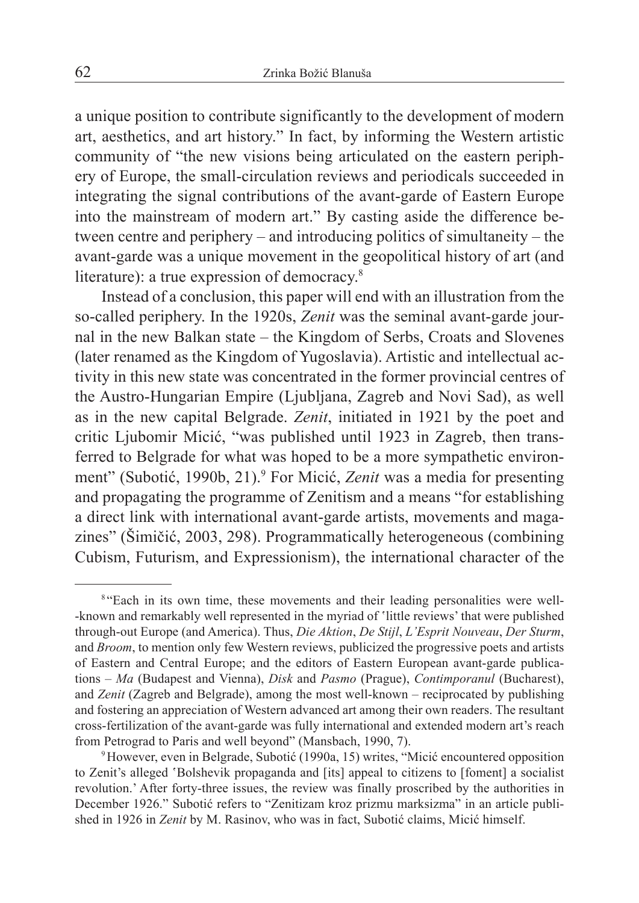a unique position to contribute significantly to the development of modern art, aesthetics, and art history." In fact, by informing the Western artistic community of "the new visions being articulated on the eastern periphery of Europe, the small-circulation reviews and periodicals succeeded in integrating the signal contributions of the avant-garde of Eastern Europe into the mainstream of modern art." By casting aside the difference between centre and periphery – and introducing politics of simultaneity – the avant-garde was a unique movement in the geopolitical history of art (and literature): a true expression of democracy.<sup>8</sup>

Instead of a conclusion, this paper will end with an illustration from the so-called periphery. In the 1920s, *Zenit* was the seminal avant-garde journal in the new Balkan state – the Kingdom of Serbs, Croats and Slovenes (later renamed as the Kingdom of Yugoslavia). Artistic and intellectual activity in this new state was concentrated in the former provincial centres of the Austro-Hungarian Empire (Ljubljana, Zagreb and Novi Sad), as well as in the new capital Belgrade. *Zenit*, initiated in 1921 by the poet and critic Ljubomir Micić, "was published until 1923 in Zagreb, then transferred to Belgrade for what was hoped to be a more sympathetic environment" (Subotić, 1990b, 21).<sup>9</sup> For Micić, *Zenit* was a media for presenting and propagating the programme of Zenitism and a means "for establishing a direct link with international avant-garde artists, movements and magazines" (Šimičić, 2003, 298). Programmatically heterogeneous (combining Cubism, Futurism, and Expressionism), the international character of the

<sup>&</sup>lt;sup>8</sup> "Each in its own time, these movements and their leading personalities were well--known and remarkably well represented in the myriad of 'little reviews' that were published through-out Europe (and America). Thus, *Die Aktion*, *De Stijl*, *L'Esprit Nouveau*, *Der Sturm*, and *Broom*, to mention only few Western reviews, publicized the progressive poets and artists of Eastern and Central Europe; and the editors of Eastern European avant-garde publications – *Ma* (Budapest and Vienna), *Disk* and *Pasmo* (Prague), *Contimporanul* (Bucharest), and *Zenit* (Zagreb and Belgrade), among the most well-known – reciprocated by publishing and fostering an appreciation of Western advanced art among their own readers. The resultant cross-fertilization of the avant-garde was fully international and extended modern art's reach from Petrograd to Paris and well beyond" (Mansbach, 1990, 7).

<sup>9</sup>However, even in Belgrade, Subotić (1990a, 15) writes, "Micić encountered opposition to Zenit's alleged 'Bolshevik propaganda and [its] appeal to citizens to [foment] a socialist revolution.' After forty-three issues, the review was finally proscribed by the authorities in December 1926." Subotić refers to "Zenitizam kroz prizmu marksizma" in an article published in 1926 in *Zenit* by M. Rasinov, who was in fact, Subotić claims, Micić himself.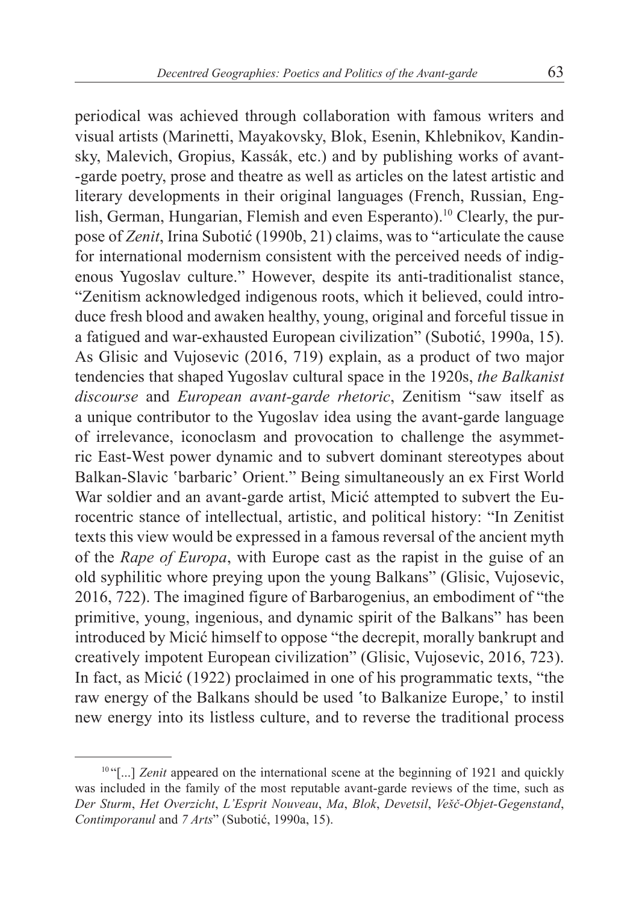periodical was achieved through collaboration with famous writers and visual artists (Marinetti, Mayakovsky, Blok, Esenin, Khlebnikov, Kandinsky, Malevich, Gropius, Kassák, etc.) and by publishing works of avant- -garde poetry, prose and theatre as well as articles on the latest artistic and literary developments in their original languages (French, Russian, English, German, Hungarian, Flemish and even Esperanto).<sup>10</sup> Clearly, the purpose of *Zenit*, Irina Subotić (1990b, 21) claims, was to "articulate the cause for international modernism consistent with the perceived needs of indigenous Yugoslav culture." However, despite its anti-traditionalist stance, "Zenitism acknowledged indigenous roots, which it believed, could introduce fresh blood and awaken healthy, young, original and forceful tissue in a fatigued and war-exhausted European civilization" (Subotić, 1990a, 15). As Glisic and Vujosevic (2016, 719) explain, as a product of two major tendencies that shaped Yugoslav cultural space in the 1920s, *the Balkanist discourse* and *European avant-garde rhetoric*, Zenitism "saw itself as a unique contributor to the Yugoslav idea using the avant-garde language of irrelevance, iconoclasm and provocation to challenge the asymmetric East-West power dynamic and to subvert dominant stereotypes about Balkan-Slavic 'barbaric' Orient." Being simultaneously an ex First World War soldier and an avant-garde artist, Micić attempted to subvert the Eurocentric stance of intellectual, artistic, and political history: "In Zenitist texts this view would be expressed in a famous reversal of the ancient myth of the *Rape of Europa*, with Europe cast as the rapist in the guise of an old syphilitic whore preying upon the young Balkans" (Glisic, Vujosevic, 2016, 722). The imagined figure of Barbarogenius, an embodiment of "the primitive, young, ingenious, and dynamic spirit of the Balkans" has been introduced by Micić himself to oppose "the decrepit, morally bankrupt and creatively impotent European civilization" (Glisic, Vujosevic, 2016, 723). In fact, as Micić (1922) proclaimed in one of his programmatic texts, "the raw energy of the Balkans should be used 'to Balkanize Europe,' to instil new energy into its listless culture, and to reverse the traditional process

<sup>&</sup>lt;sup>10 "[...]</sup> *Zenit* appeared on the international scene at the beginning of 1921 and quickly was included in the family of the most reputable avant-garde reviews of the time, such as *Der Sturm*, *Het Overzicht*, *L'Esprit Nouveau*, *Ma*, *Blok*, *Devetsil*, *Vešč-Objet-Gegenstand*, *Contimporanul* and *7 Arts*" (Subotić, 1990a, 15).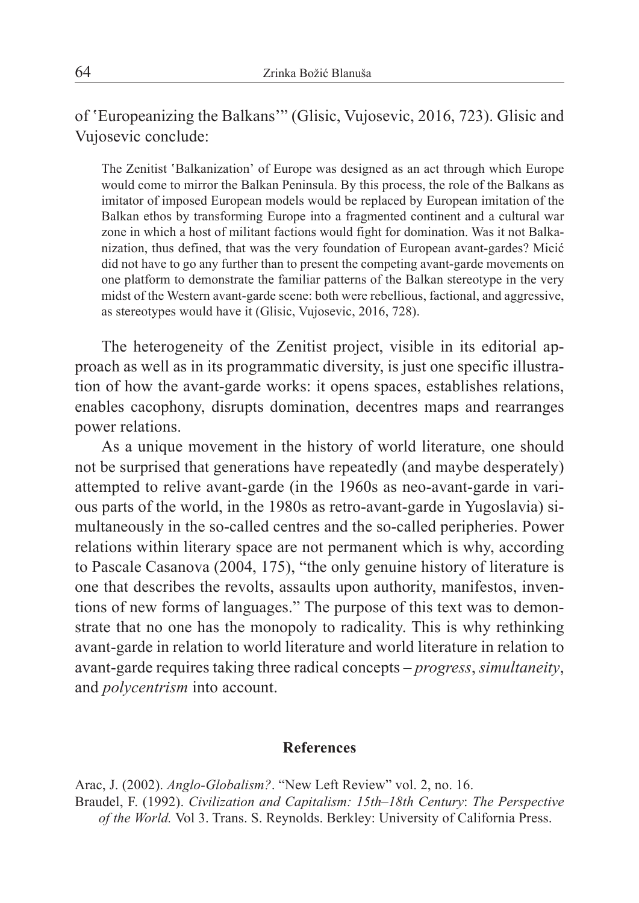of 'Europeanizing the Balkans'" (Glisic, Vujosevic, 2016, 723). Glisic and Vujosevic conclude:

The Zenitist ʽBalkanization' of Europe was designed as an act through which Europe would come to mirror the Balkan Peninsula. By this process, the role of the Balkans as imitator of imposed European models would be replaced by European imitation of the Balkan ethos by transforming Europe into a fragmented continent and a cultural war zone in which a host of militant factions would fight for domination. Was it not Balkanization, thus defined, that was the very foundation of European avant-gardes? Micić did not have to go any further than to present the competing avant-garde movements on one platform to demonstrate the familiar patterns of the Balkan stereotype in the very midst of the Western avant-garde scene: both were rebellious, factional, and aggressive, as stereotypes would have it (Glisic, Vujosevic, 2016, 728).

The heterogeneity of the Zenitist project, visible in its editorial approach as well as in its programmatic diversity, is just one specific illustration of how the avant-garde works: it opens spaces, establishes relations, enables cacophony, disrupts domination, decentres maps and rearranges power relations.

As a unique movement in the history of world literature, one should not be surprised that generations have repeatedly (and maybe desperately) attempted to relive avant-garde (in the 1960s as neo-avant-garde in various parts of the world, in the 1980s as retro-avant-garde in Yugoslavia) simultaneously in the so-called centres and the so-called peripheries. Power relations within literary space are not permanent which is why, according to Pascale Casanova (2004, 175), "the only genuine history of literature is one that describes the revolts, assaults upon authority, manifestos, inventions of new forms of languages." The purpose of this text was to demonstrate that no one has the monopoly to radicality. This is why rethinking avant-garde in relation to world literature and world literature in relation to avant-garde requires taking three radical concepts – *progress*, *simultaneity*, and *polycentrism* into account.

## **References**

Arac, J. (2002). *Anglo-Globalism?*. "New Left Review" vol. 2, no. 16. Braudel, F. (1992). *Civilization and Capitalism: 15th–18th Century*: *The Perspective of the World.* Vol 3. Trans. S. Reynolds. Berkley: University of California Press.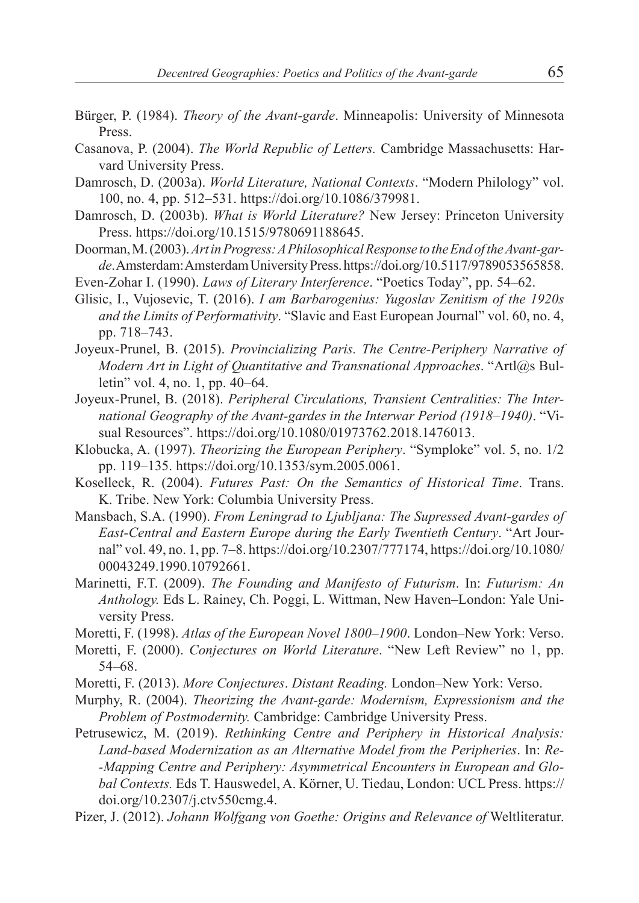- Bürger, P. (1984). *Theory of the Avant-garde*. Minneapolis: University of Minnesota Press.
- Casanova, P. (2004). *The World Republic of Letters.* Cambridge Massachusetts: Harvard University Press.
- Damrosch, D. (2003a). *World Literature, National Contexts*. "Modern Philology" vol. 100, no. 4, pp. 512–531. https://doi.org/10.1086/379981.
- Damrosch, D. (2003b). *What is World Literature?* New Jersey: Princeton University Press. https://doi.org/10.1515/9780691188645.
- Doorman, M. (2003). *Art in Progress: APhilosophical Response to the End of the Avant-garde*. Amsterdam: Amsterdam University Press. https://doi.org/10.5117/9789053565858.
- Even-Zohar I. (1990). *Laws of Literary Interference*. "Poetics Today", pp. 54–62.
- Glisic, I., Vujosevic, T. (2016). *I am Barbarogenius: Yugoslav Zenitism of the 1920s and the Limits of Performativity*. "Slavic and East European Journal" vol. 60, no. 4, pp. 718–743.
- Joyeux-Prunel, B. (2015). *Provincializing Paris. The Centre-Periphery Narrative of Modern Art in Light of Quantitative and Transnational Approaches*. "Artl@s Bulletin" vol. 4, no. 1, pp. 40–64.
- Joyeux-Prunel, B. (2018). *Peripheral Circulations, Transient Centralities: The International Geography of the Avant-gardes in the Interwar Period (1918–1940)*. "Visual Resources". https://doi.org/10.1080/01973762.2018.1476013.
- Klobucka, A. (1997). *Theorizing the European Periphery*. "Symploke" vol. 5, no. 1/2 pp. 119–135. https://doi.org/10.1353/sym.2005.0061.
- Koselleck, R. (2004). *Futures Past: On the Semantics of Historical Time*. Trans. K. Tribe. New York: Columbia University Press.
- Mansbach, S.A. (1990). *From Leningrad to Ljubljana: The Supressed Avant-gardes of East-Central and Eastern Europe during the Early Twentieth Century*. "Art Journal" vol. 49, no. 1, pp. 7–8. https://doi.org/10.2307/777174, https://doi.org/10.1080/ 00043249.1990.10792661.
- Marinetti, F.T. (2009). *The Founding and Manifesto of Futurism*. In: *Futurism: An Anthology.* Eds L. Rainey, Ch. Poggi, L. Wittman, New Haven–London: Yale University Press.
- Moretti, F. (1998). *Atlas of the European Novel 1800–1900*. London–New York: Verso.
- Moretti, F. (2000). *Conjectures on World Literature*. "New Left Review" no 1, pp. 54–68.
- Moretti, F. (2013). *More Conjectures*. *Distant Reading.* London–New York: Verso.
- Murphy, R. (2004). *Theorizing the Avant-garde: Modernism, Expressionism and the Problem of Postmodernity.* Cambridge: Cambridge University Press.
- Petrusewicz, M. (2019). *Rethinking Centre and Periphery in Historical Analysis: Land-based Modernization as an Alternative Model from the Peripheries*. In: *Re- -Mapping Centre and Periphery: Asymmetrical Encounters in European and Global Contexts.* Eds T. Hauswedel, A. Körner, U. Tiedau, London: UCL Press. https:// doi.org/10.2307/j.ctv550cmg.4.
- Pizer, J. (2012). *Johann Wolfgang von Goethe: Origins and Relevance of* Weltliteratur.